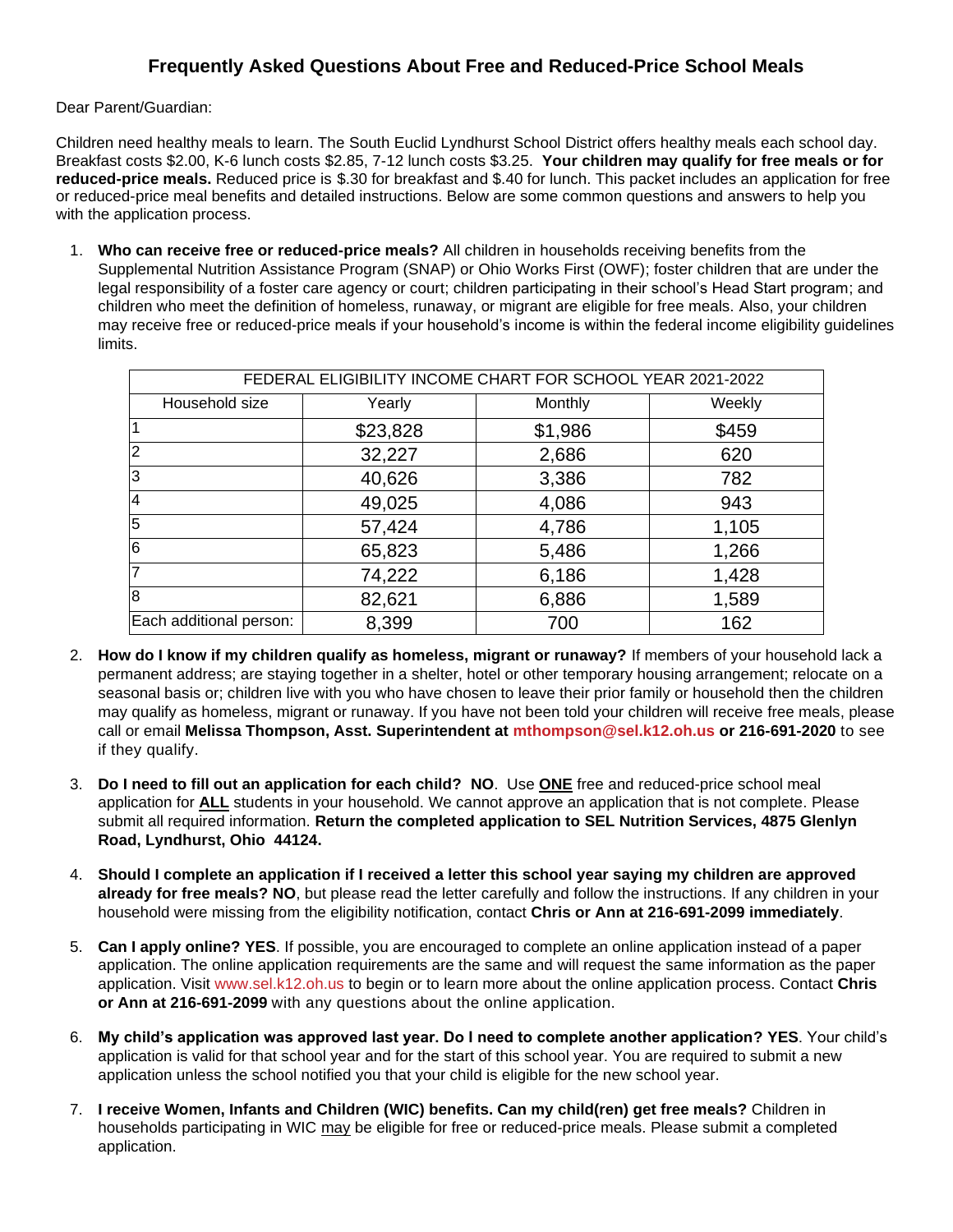## **Frequently Asked Questions About Free and Reduced-Price School Meals**

Dear Parent/Guardian:

Children need healthy meals to learn. The South Euclid Lyndhurst School District offers healthy meals each school day. Breakfast costs \$2.00, K-6 lunch costs \$2.85, 7-12 lunch costs \$3.25. **Your children may qualify for free meals or for reduced-price meals.** Reduced price is \$.30 for breakfast and \$.40 for lunch. This packet includes an application for free or reduced-price meal benefits and detailed instructions. Below are some common questions and answers to help you with the application process.

1. **Who can receive free or reduced-price meals?** All children in households receiving benefits from the Supplemental Nutrition Assistance Program (SNAP) or Ohio Works First (OWF); foster children that are under the legal responsibility of a foster care agency or court; children participating in their school's Head Start program; and children who meet the definition of homeless, runaway, or migrant are eligible for free meals. Also, your children may receive free or reduced-price meals if your household's income is within the federal income eligibility guidelines limits.

| FEDERAL ELIGIBILITY INCOME CHART FOR SCHOOL YEAR 2021-2022 |          |         |        |  |  |  |  |  |  |
|------------------------------------------------------------|----------|---------|--------|--|--|--|--|--|--|
| Household size                                             | Yearly   | Monthly | Weekly |  |  |  |  |  |  |
|                                                            | \$23,828 | \$1,986 | \$459  |  |  |  |  |  |  |
| $\overline{2}$                                             | 32,227   | 2,686   | 620    |  |  |  |  |  |  |
| 3                                                          | 40,626   | 3,386   | 782    |  |  |  |  |  |  |
| $\overline{4}$                                             | 49,025   | 4,086   | 943    |  |  |  |  |  |  |
| 5                                                          | 57,424   | 4,786   | 1,105  |  |  |  |  |  |  |
| 6                                                          | 65,823   | 5,486   | 1,266  |  |  |  |  |  |  |
| 7                                                          | 74,222   | 6,186   | 1,428  |  |  |  |  |  |  |
| 8                                                          | 82,621   | 6,886   | 1,589  |  |  |  |  |  |  |
| Each additional person:                                    | 8,399    | 700     | 162    |  |  |  |  |  |  |

- 2. **How do I know if my children qualify as homeless, migrant or runaway?** If members of your household lack a permanent address; are staying together in a shelter, hotel or other temporary housing arrangement; relocate on a seasonal basis or; children live with you who have chosen to leave their prior family or household then the children may qualify as homeless, migrant or runaway. If you have not been told your children will receive free meals, please call or email **Melissa Thompson, Asst. Superintendent at [mthompson@sel.k12.oh.us](mailto:mthompson@sel.k12.oh.us) or 216-691-2020** to see if they qualify.
- 3. **Do I need to fill out an application for each child? NO**. Use **ONE** free and reduced-price school meal application for **ALL** students in your household. We cannot approve an application that is not complete. Please submit all required information. **Return the completed application to SEL Nutrition Services, 4875 Glenlyn Road, Lyndhurst, Ohio 44124.**
- 4. **Should I complete an application if I received a letter this school year saying my children are approved already for free meals? NO**, but please read the letter carefully and follow the instructions. If any children in your household were missing from the eligibility notification, contact **Chris or Ann at 216-691-2099 immediately**.
- 5. **Can I apply online? YES**. If possible, you are encouraged to complete an online application instead of a paper application. The online application requirements are the same and will request the same information as the paper application. Visit [www.sel.k12.oh.us](http://www.sel.k12.oh.us/) to begin or to learn more about the online application process. Contact **Chris or Ann at 216-691-2099** with any questions about the online application.
- 6. **My child's application was approved last year. Do I need to complete another application? YES**. Your child's application is valid for that school year and for the start of this school year. You are required to submit a new application unless the school notified you that your child is eligible for the new school year.
- 7. **I receive Women, Infants and Children (WIC) benefits. Can my child(ren) get free meals?** Children in households participating in WIC may be eligible for free or reduced-price meals. Please submit a completed application.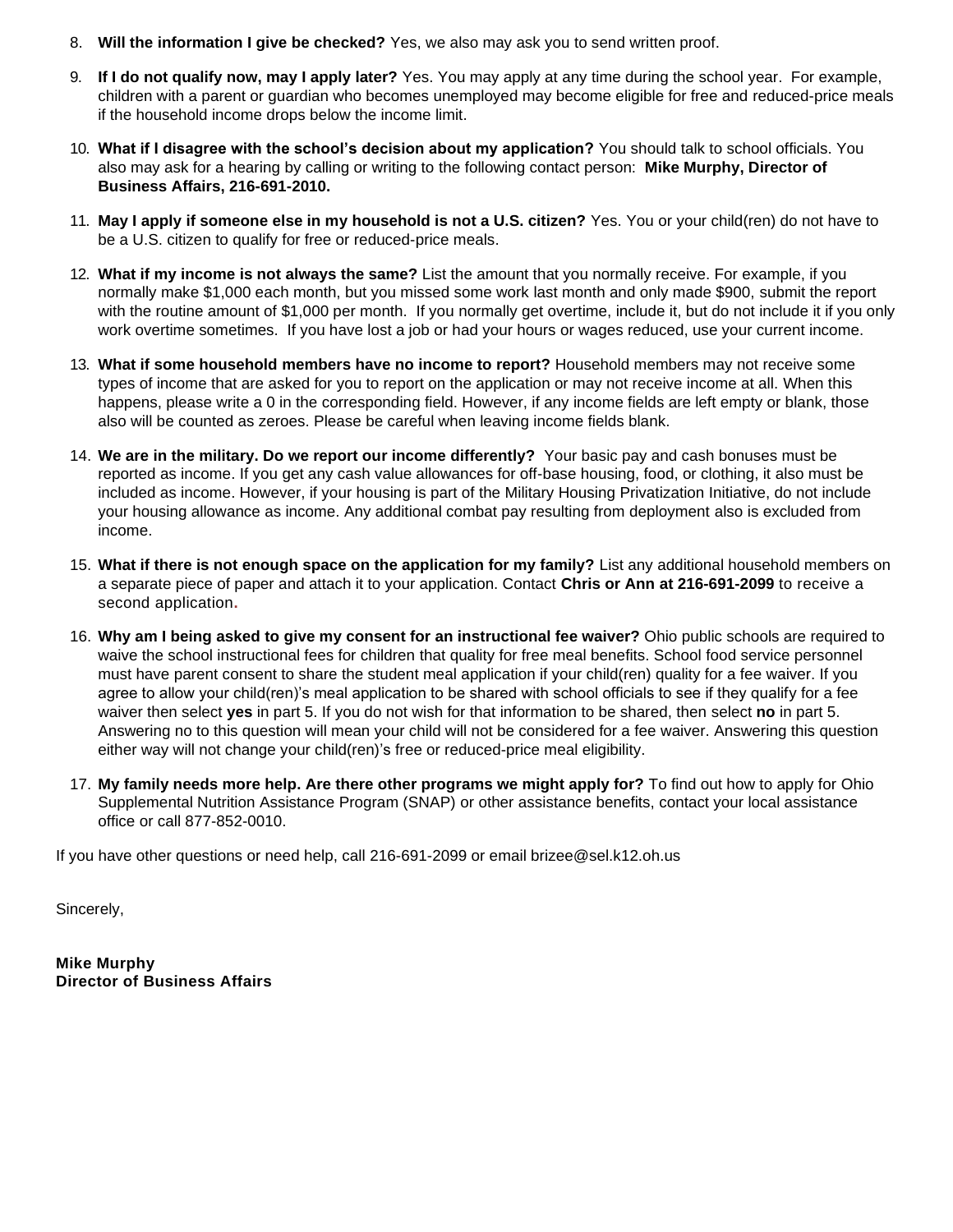- 8. **Will the information I give be checked?** Yes, we also may ask you to send written proof.
- 9. **If I do not qualify now, may I apply later?** Yes. You may apply at any time during the school year. For example, children with a parent or guardian who becomes unemployed may become eligible for free and reduced-price meals if the household income drops below the income limit.
- 10. **What if I disagree with the school's decision about my application?** You should talk to school officials. You also may ask for a hearing by calling or writing to the following contact person: **Mike Murphy, Director of Business Affairs, 216-691-2010.**
- 11. **May I apply if someone else in my household is not a U.S. citizen?** Yes. You or your child(ren) do not have to be a U.S. citizen to qualify for free or reduced-price meals.
- 12. **What if my income is not always the same?** List the amount that you normally receive. For example, if you normally make \$1,000 each month, but you missed some work last month and only made \$900, submit the report with the routine amount of \$1,000 per month. If you normally get overtime, include it, but do not include it if you only work overtime sometimes. If you have lost a job or had your hours or wages reduced, use your current income.
- 13. **What if some household members have no income to report?** Household members may not receive some types of income that are asked for you to report on the application or may not receive income at all. When this happens, please write a 0 in the corresponding field. However, if any income fields are left empty or blank, those also will be counted as zeroes. Please be careful when leaving income fields blank.
- 14. **We are in the military. Do we report our income differently?** Your basic pay and cash bonuses must be reported as income. If you get any cash value allowances for off-base housing, food, or clothing, it also must be included as income. However, if your housing is part of the Military Housing Privatization Initiative, do not include your housing allowance as income. Any additional combat pay resulting from deployment also is excluded from income.
- 15. **What if there is not enough space on the application for my family?** List any additional household members on a separate piece of paper and attach it to your application. Contact **Chris or Ann at 216-691-2099** to receive a second application**.**
- 16. **Why am I being asked to give my consent for an instructional fee waiver?** Ohio public schools are required to waive the school instructional fees for children that quality for free meal benefits. School food service personnel must have parent consent to share the student meal application if your child(ren) quality for a fee waiver. If you agree to allow your child(ren)'s meal application to be shared with school officials to see if they qualify for a fee waiver then select **yes** in part 5. If you do not wish for that information to be shared, then select **no** in part 5. Answering no to this question will mean your child will not be considered for a fee waiver. Answering this question either way will not change your child(ren)'s free or reduced-price meal eligibility.
- 17. **My family needs more help. Are there other programs we might apply for?** To find out how to apply for Ohio Supplemental Nutrition Assistance Program (SNAP) or other assistance benefits, contact your local assistance office or call 877-852-0010.

If you have other questions or need help, call 216-691-2099 or email brizee@sel.k12.oh.us

Sincerely,

**Mike Murphy Director of Business Affairs**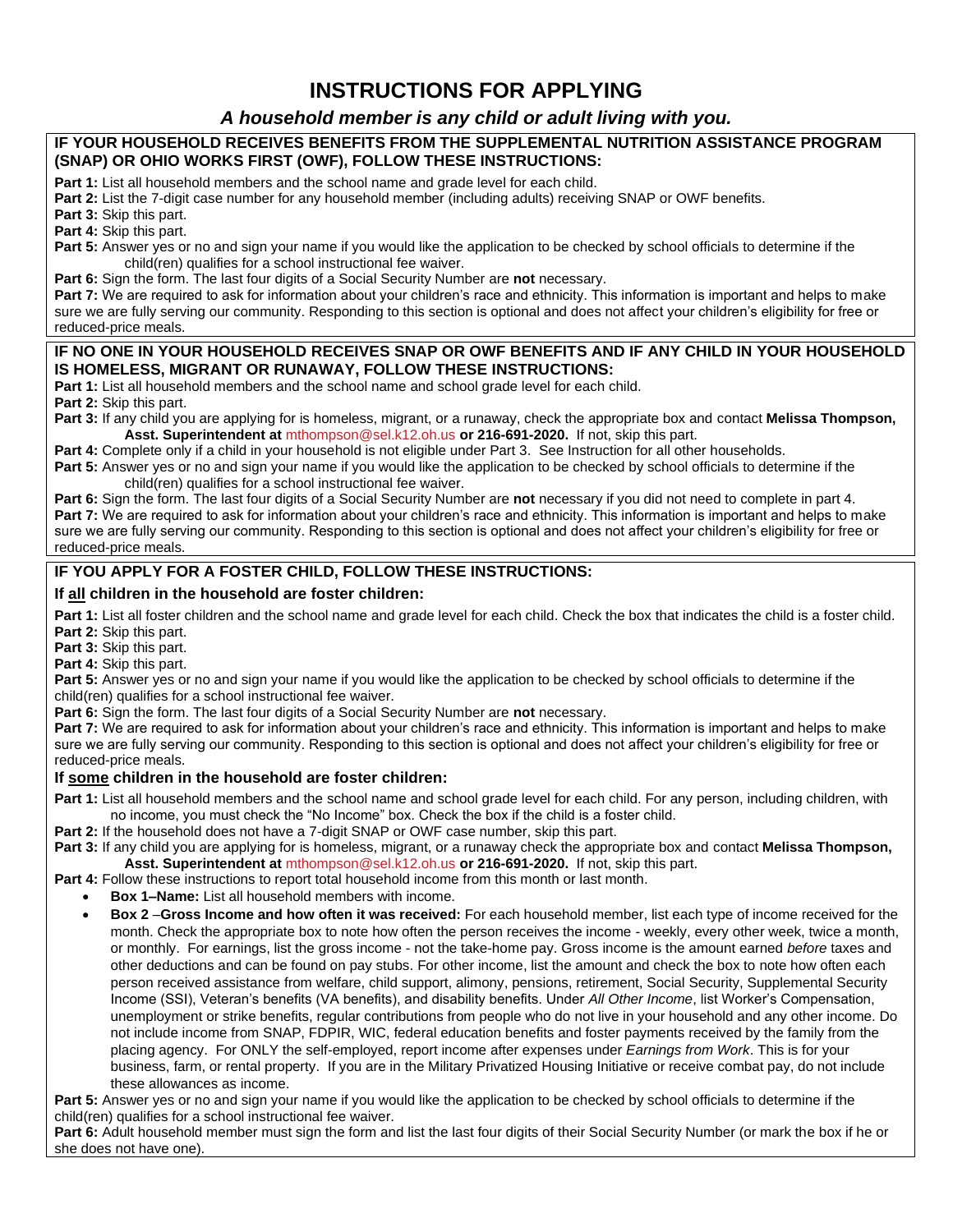# **INSTRUCTIONS FOR APPLYING**

## *A household member is any child or adult living with you.*

#### **IF YOUR HOUSEHOLD RECEIVES BENEFITS FROM THE SUPPLEMENTAL NUTRITION ASSISTANCE PROGRAM (SNAP) OR OHIO WORKS FIRST (OWF), FOLLOW THESE INSTRUCTIONS:**

**Part 1:** List all household members and the school name and grade level for each child.

**Part 2:** List the 7-digit case number for any household member (including adults) receiving SNAP or OWF benefits.

**Part 3:** Skip this part.

**Part 4:** Skip this part.

**Part 5:** Answer yes or no and sign your name if you would like the application to be checked by school officials to determine if the child(ren) qualifies for a school instructional fee waiver.

**Part 6:** Sign the form. The last four digits of a Social Security Number are **not** necessary.

**Part 7:** We are required to ask for information about your children's race and ethnicity. This information is important and helps to make sure we are fully serving our community. Responding to this section is optional and does not affect your children's eligibility for free or reduced-price meals.

#### **IF NO ONE IN YOUR HOUSEHOLD RECEIVES SNAP OR OWF BENEFITS AND IF ANY CHILD IN YOUR HOUSEHOLD IS HOMELESS, MIGRANT OR RUNAWAY, FOLLOW THESE INSTRUCTIONS:**

**Part 1:** List all household members and the school name and school grade level for each child.

**Part 2:** Skip this part.

**Part 3:** If any child you are applying for is homeless, migrant, or a runaway, check the appropriate box and contact **Melissa Thompson, Asst. Superintendent at** [mthompson@sel.k12.oh.us](mailto:mthompson@sel.k12.oh.us) **or 216-691-2020.** If not, skip this part.

**Part 4:** Complete only if a child in your household is not eligible under Part 3. See Instruction for all other households. **Part 5:** Answer yes or no and sign your name if you would like the application to be checked by school officials to determine if the child(ren) qualifies for a school instructional fee waiver.

**Part 6:** Sign the form. The last four digits of a Social Security Number are **not** necessary if you did not need to complete in part 4. **Part 7:** We are required to ask for information about your children's race and ethnicity. This information is important and helps to make sure we are fully serving our community. Responding to this section is optional and does not affect your children's eligibility for free or reduced-price meals.

## **IF YOU APPLY FOR A FOSTER CHILD, FOLLOW THESE INSTRUCTIONS:**

#### **If all children in the household are foster children:**

Part 1: List all foster children and the school name and grade level for each child. Check the box that indicates the child is a foster child. **Part 2:** Skip this part.

**Part 3:** Skip this part.

**Part 4:** Skip this part.

**Part 5:** Answer yes or no and sign your name if you would like the application to be checked by school officials to determine if the child(ren) qualifies for a school instructional fee waiver.

**Part 6:** Sign the form. The last four digits of a Social Security Number are **not** necessary.

**Part 7:** We are required to ask for information about your children's race and ethnicity. This information is important and helps to make sure we are fully serving our community. Responding to this section is optional and does not affect your children's eligibility for free or reduced-price meals.

#### **If some children in the household are foster children:**

**Part 1:** List all household members and the school name and school grade level for each child. For any person, including children, with no income, you must check the "No Income" box. Check the box if the child is a foster child.

**Part 2:** If the household does not have a 7-digit SNAP or OWF case number, skip this part.

**Part 3:** If any child you are applying for is homeless, migrant, or a runaway check the appropriate box and contact **Melissa Thompson, Asst. Superintendent at** [mthompson@sel.k12.oh.us](mailto:mthompson@sel.k12.oh.us) **or 216-691-2020.** If not, skip this part.

**Part 4:** Follow these instructions to report total household income from this month or last month.

- **Box 1–Name:** List all household members with income.
- **Box 2** –**Gross Income and how often it was received:** For each household member, list each type of income received for the month. Check the appropriate box to note how often the person receives the income - weekly, every other week, twice a month, or monthly. For earnings, list the gross income - not the take-home pay. Gross income is the amount earned *before* taxes and other deductions and can be found on pay stubs. For other income, list the amount and check the box to note how often each person received assistance from welfare, child support, alimony, pensions, retirement, Social Security, Supplemental Security Income (SSI), Veteran's benefits (VA benefits), and disability benefits. Under *All Other Income*, list Worker's Compensation, unemployment or strike benefits, regular contributions from people who do not live in your household and any other income. Do not include income from SNAP, FDPIR, WIC, federal education benefits and foster payments received by the family from the placing agency. For ONLY the self-employed, report income after expenses under *Earnings from Work*. This is for your business, farm, or rental property. If you are in the Military Privatized Housing Initiative or receive combat pay, do not include these allowances as income.

**Part 5:** Answer yes or no and sign your name if you would like the application to be checked by school officials to determine if the child(ren) qualifies for a school instructional fee waiver.

**Part 6:** Adult household member must sign the form and list the last four digits of their Social Security Number (or mark the box if he or she does not have one).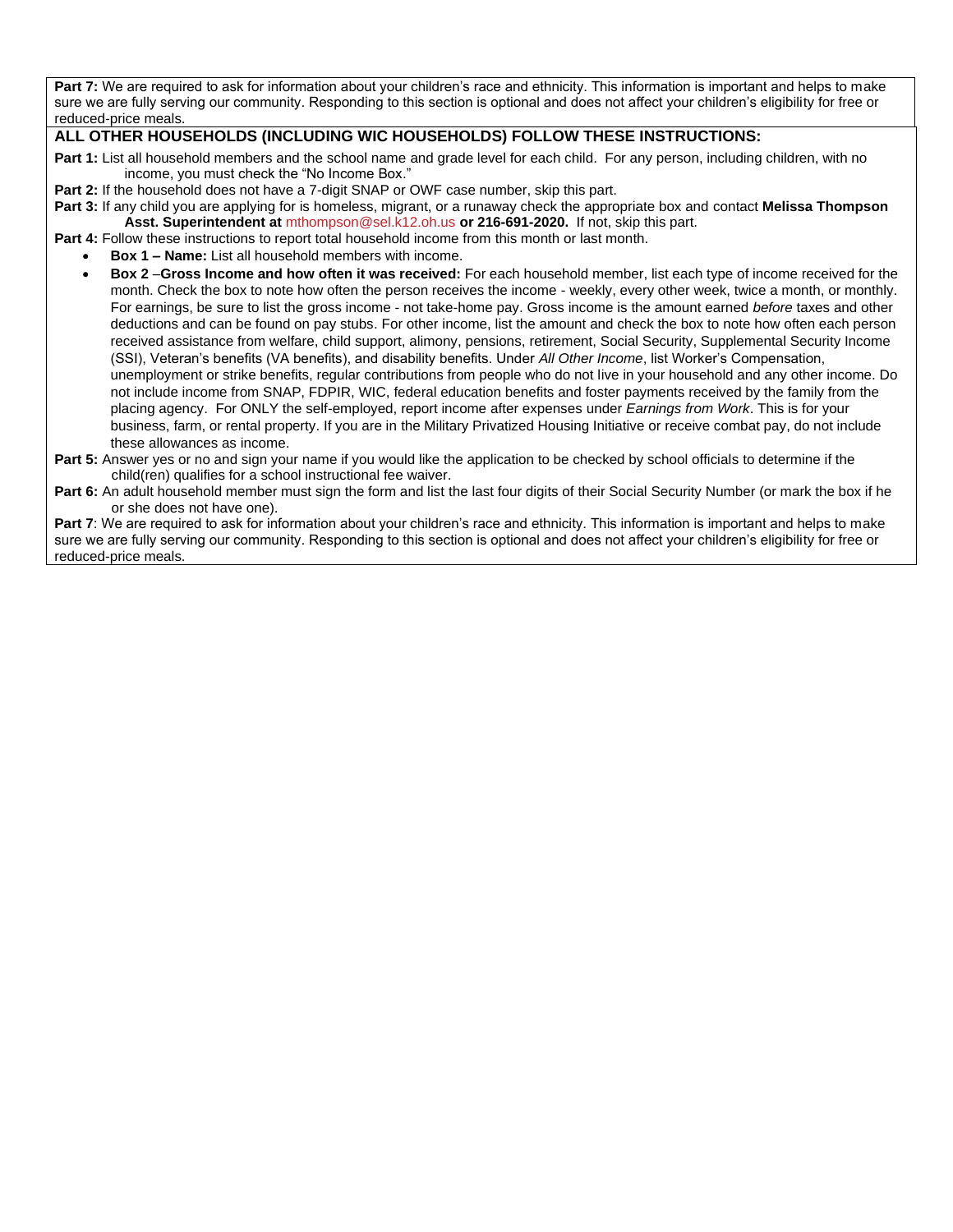Part 7: We are required to ask for information about your children's race and ethnicity. This information is important and helps to make sure we are fully serving our community. Responding to this section is optional and does not affect your children's eligibility for free or reduced-price meals.

### **ALL OTHER HOUSEHOLDS (INCLUDING WIC HOUSEHOLDS) FOLLOW THESE INSTRUCTIONS:**

- **Part 1:** List all household members and the school name and grade level for each child. For any person, including children, with no income, you must check the "No Income Box."
- **Part 2:** If the household does not have a 7-digit SNAP or OWF case number, skip this part.
- **Part 3:** If any child you are applying for is homeless, migrant, or a runaway check the appropriate box and contact **Melissa Thompson Asst. Superintendent at** [mthompson@sel.k12.oh.us](mailto:mthompson@sel.k12.oh.us) **or 216-691-2020.** If not, skip this part.
- **Part 4:** Follow these instructions to report total household income from this month or last month.
	- **Box 1 – Name:** List all household members with income.
	- **Box 2** –**Gross Income and how often it was received:** For each household member, list each type of income received for the month. Check the box to note how often the person receives the income - weekly, every other week, twice a month, or monthly. For earnings, be sure to list the gross income - not take-home pay. Gross income is the amount earned *before* taxes and other deductions and can be found on pay stubs. For other income, list the amount and check the box to note how often each person received assistance from welfare, child support, alimony, pensions, retirement, Social Security, Supplemental Security Income (SSI), Veteran's benefits (VA benefits), and disability benefits. Under *All Other Income*, list Worker's Compensation, unemployment or strike benefits, regular contributions from people who do not live in your household and any other income. Do not include income from SNAP, FDPIR, WIC, federal education benefits and foster payments received by the family from the placing agency. For ONLY the self-employed, report income after expenses under *Earnings from Work*. This is for your business, farm, or rental property. If you are in the Military Privatized Housing Initiative or receive combat pay, do not include these allowances as income.
- **Part 5:** Answer yes or no and sign your name if you would like the application to be checked by school officials to determine if the child(ren) qualifies for a school instructional fee waiver.
- **Part 6:** An adult household member must sign the form and list the last four digits of their Social Security Number (or mark the box if he or she does not have one).

**Part 7**: We are required to ask for information about your children's race and ethnicity. This information is important and helps to make sure we are fully serving our community. Responding to this section is optional and does not affect your children's eligibility for free or reduced-price meals.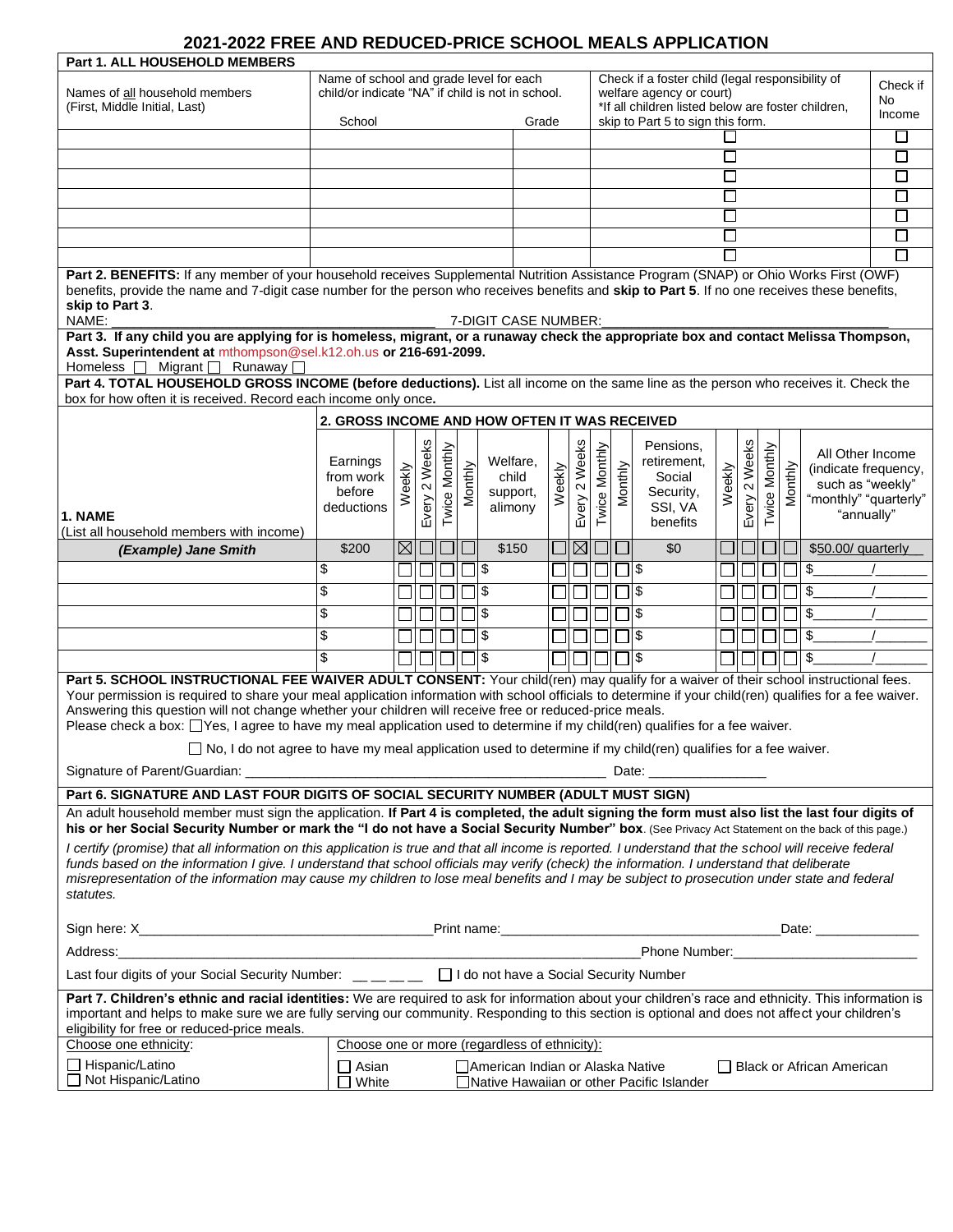# **2021-2022 FREE AND REDUCED-PRICE SCHOOL MEALS APPLICATION**

| <b>Part 1. ALL HOUSEHOLD MEMBERS</b>                                                                                                                                                                                                                                                                                                                                                                                                                                                                                                                                                                                                                                                            |                                                                                                                                        |             |                  |               |         |                                          |        |                                   |                                                                                                                                    |               |         |                                                            |                             |                                 |                  |         |                                                                                                     |  |
|-------------------------------------------------------------------------------------------------------------------------------------------------------------------------------------------------------------------------------------------------------------------------------------------------------------------------------------------------------------------------------------------------------------------------------------------------------------------------------------------------------------------------------------------------------------------------------------------------------------------------------------------------------------------------------------------------|----------------------------------------------------------------------------------------------------------------------------------------|-------------|------------------|---------------|---------|------------------------------------------|--------|-----------------------------------|------------------------------------------------------------------------------------------------------------------------------------|---------------|---------|------------------------------------------------------------|-----------------------------|---------------------------------|------------------|---------|-----------------------------------------------------------------------------------------------------|--|
| Names of all household members<br>(First, Middle Initial, Last)                                                                                                                                                                                                                                                                                                                                                                                                                                                                                                                                                                                                                                 | Name of school and grade level for each<br>child/or indicate "NA" if child is not in school.                                           |             |                  |               |         |                                          |        |                                   | Check if a foster child (legal responsibility of<br>welfare agency or court)<br>*If all children listed below are foster children, |               |         |                                                            |                             | Check if<br><b>No</b><br>Income |                  |         |                                                                                                     |  |
|                                                                                                                                                                                                                                                                                                                                                                                                                                                                                                                                                                                                                                                                                                 | School                                                                                                                                 |             |                  |               | Grade   |                                          |        | skip to Part 5 to sign this form. |                                                                                                                                    |               |         |                                                            |                             | $\Box$                          |                  |         |                                                                                                     |  |
|                                                                                                                                                                                                                                                                                                                                                                                                                                                                                                                                                                                                                                                                                                 |                                                                                                                                        |             |                  |               |         |                                          |        | □                                 |                                                                                                                                    |               |         |                                                            | $\sqcup$                    |                                 |                  |         |                                                                                                     |  |
|                                                                                                                                                                                                                                                                                                                                                                                                                                                                                                                                                                                                                                                                                                 |                                                                                                                                        |             |                  |               |         |                                          |        | $\mathsf{L}$                      |                                                                                                                                    |               |         |                                                            | $\mathcal{L}_{\mathcal{A}}$ |                                 |                  |         |                                                                                                     |  |
|                                                                                                                                                                                                                                                                                                                                                                                                                                                                                                                                                                                                                                                                                                 |                                                                                                                                        |             |                  |               |         |                                          |        | $\Box$                            |                                                                                                                                    |               |         |                                                            | □                           |                                 |                  |         |                                                                                                     |  |
|                                                                                                                                                                                                                                                                                                                                                                                                                                                                                                                                                                                                                                                                                                 |                                                                                                                                        |             |                  |               |         | H                                        |        |                                   |                                                                                                                                    |               |         | $\Box$                                                     |                             |                                 |                  |         |                                                                                                     |  |
|                                                                                                                                                                                                                                                                                                                                                                                                                                                                                                                                                                                                                                                                                                 |                                                                                                                                        |             |                  |               |         |                                          | $\Box$ |                                   |                                                                                                                                    |               |         |                                                            | $\Box$                      |                                 |                  |         |                                                                                                     |  |
|                                                                                                                                                                                                                                                                                                                                                                                                                                                                                                                                                                                                                                                                                                 |                                                                                                                                        |             |                  |               |         |                                          |        |                                   |                                                                                                                                    |               |         |                                                            |                             |                                 |                  |         |                                                                                                     |  |
| Part 2. BENEFITS: If any member of your household receives Supplemental Nutrition Assistance Program (SNAP) or Ohio Works First (OWF)<br>benefits, provide the name and 7-digit case number for the person who receives benefits and skip to Part 5. If no one receives these benefits,<br>skip to Part 3.<br>NAME:<br>7-DIGIT CASE NUMBER:                                                                                                                                                                                                                                                                                                                                                     |                                                                                                                                        |             |                  |               |         |                                          |        |                                   |                                                                                                                                    |               |         |                                                            |                             |                                 |                  |         |                                                                                                     |  |
| Part 3. If any child you are applying for is homeless, migrant, or a runaway check the appropriate box and contact Melissa Thompson,<br>Asst. Superintendent at mthompson@sel.k12.oh.us or 216-691-2099.<br>Homeless   Migrant   Runaway                                                                                                                                                                                                                                                                                                                                                                                                                                                        |                                                                                                                                        |             |                  |               |         |                                          |        |                                   |                                                                                                                                    |               |         |                                                            |                             |                                 |                  |         |                                                                                                     |  |
| Part 4. TOTAL HOUSEHOLD GROSS INCOME (before deductions). List all income on the same line as the person who receives it. Check the<br>box for how often it is received. Record each income only once.                                                                                                                                                                                                                                                                                                                                                                                                                                                                                          |                                                                                                                                        |             |                  |               |         |                                          |        |                                   |                                                                                                                                    |               |         |                                                            |                             |                                 |                  |         |                                                                                                     |  |
|                                                                                                                                                                                                                                                                                                                                                                                                                                                                                                                                                                                                                                                                                                 | 2. GROSS INCOME AND HOW OFTEN IT WAS RECEIVED                                                                                          |             |                  |               |         |                                          |        |                                   |                                                                                                                                    |               |         |                                                            |                             |                                 |                  |         |                                                                                                     |  |
| 1. NAME                                                                                                                                                                                                                                                                                                                                                                                                                                                                                                                                                                                                                                                                                         | Earnings<br>from work<br>before<br>deductions                                                                                          | Weekly      | 2 Weeks<br>Every | Twice Monthly | Monthly | Welfare,<br>child<br>support,<br>alimony |        | Weekly                            | 2 Weeks<br>Every                                                                                                                   | Twice Monthly | Monthly | Pensions,<br>retirement,<br>Social<br>Security,<br>SSI, VA | Weekly                      | 2 Weeks<br>Every                | Monthly<br>Twice | Monthly | All Other Income<br>(indicate frequency,<br>such as "weekly"<br>"monthly" "quarterly"<br>"annually" |  |
| (List all household members with income)                                                                                                                                                                                                                                                                                                                                                                                                                                                                                                                                                                                                                                                        |                                                                                                                                        |             |                  |               |         |                                          |        |                                   |                                                                                                                                    |               |         | benefits                                                   |                             |                                 |                  |         |                                                                                                     |  |
| (Example) Jane Smith                                                                                                                                                                                                                                                                                                                                                                                                                                                                                                                                                                                                                                                                            | \$200                                                                                                                                  | $\boxtimes$ |                  |               |         | \$150                                    |        |                                   | $\boxtimes$                                                                                                                        |               |         | \$0                                                        |                             |                                 |                  |         | \$50.00/ quarterly                                                                                  |  |
|                                                                                                                                                                                                                                                                                                                                                                                                                                                                                                                                                                                                                                                                                                 | \$                                                                                                                                     |             |                  |               |         | \$                                       |        |                                   |                                                                                                                                    |               |         | \$                                                         |                             |                                 |                  |         | \$                                                                                                  |  |
|                                                                                                                                                                                                                                                                                                                                                                                                                                                                                                                                                                                                                                                                                                 | \$                                                                                                                                     |             |                  |               |         | \$                                       |        |                                   |                                                                                                                                    |               |         | $\mathfrak{s}$                                             |                             |                                 |                  |         | \$                                                                                                  |  |
|                                                                                                                                                                                                                                                                                                                                                                                                                                                                                                                                                                                                                                                                                                 | \$                                                                                                                                     |             |                  |               |         | \$                                       |        |                                   |                                                                                                                                    |               |         | \$                                                         |                             |                                 |                  |         | \$                                                                                                  |  |
|                                                                                                                                                                                                                                                                                                                                                                                                                                                                                                                                                                                                                                                                                                 | \$                                                                                                                                     |             |                  |               |         | \$                                       |        |                                   |                                                                                                                                    |               |         | \$                                                         |                             |                                 |                  |         | \$                                                                                                  |  |
|                                                                                                                                                                                                                                                                                                                                                                                                                                                                                                                                                                                                                                                                                                 | \$                                                                                                                                     |             |                  |               |         | \$                                       |        |                                   |                                                                                                                                    |               |         | \$                                                         |                             |                                 |                  |         | \$                                                                                                  |  |
| Part 5. SCHOOL INSTRUCTIONAL FEE WAIVER ADULT CONSENT: Your child(ren) may qualify for a waiver of their school instructional fees.<br>Your permission is required to share your meal application information with school officials to determine if your child(ren) qualifies for a fee waiver.<br>Answering this question will not change whether your children will receive free or reduced-price meals.<br>Please check a box: [Yes, I agree to have my meal application used to determine if my child(ren) qualifies for a fee waiver.<br>$\Box$ No, I do not agree to have my meal application used to determine if my child(ren) qualifies for a fee waiver.<br>Date: ___________________ |                                                                                                                                        |             |                  |               |         |                                          |        |                                   |                                                                                                                                    |               |         |                                                            |                             |                                 |                  |         |                                                                                                     |  |
|                                                                                                                                                                                                                                                                                                                                                                                                                                                                                                                                                                                                                                                                                                 |                                                                                                                                        |             |                  |               |         |                                          |        |                                   |                                                                                                                                    |               |         |                                                            |                             |                                 |                  |         |                                                                                                     |  |
| Part 6. SIGNATURE AND LAST FOUR DIGITS OF SOCIAL SECURITY NUMBER (ADULT MUST SIGN)<br>An adult household member must sign the application. If Part 4 is completed, the adult signing the form must also list the last four digits of<br>his or her Social Security Number or mark the "I do not have a Social Security Number" box. (See Privacy Act Statement on the back of this page.)                                                                                                                                                                                                                                                                                                       |                                                                                                                                        |             |                  |               |         |                                          |        |                                   |                                                                                                                                    |               |         |                                                            |                             |                                 |                  |         |                                                                                                     |  |
| I certify (promise) that all information on this application is true and that all income is reported. I understand that the school will receive federal<br>funds based on the information I give. I understand that school officials may verify (check) the information. I understand that deliberate<br>misrepresentation of the information may cause my children to lose meal benefits and I may be subject to prosecution under state and federal<br>statutes.                                                                                                                                                                                                                              |                                                                                                                                        |             |                  |               |         |                                          |        |                                   |                                                                                                                                    |               |         |                                                            |                             |                                 |                  |         |                                                                                                     |  |
|                                                                                                                                                                                                                                                                                                                                                                                                                                                                                                                                                                                                                                                                                                 |                                                                                                                                        |             |                  |               |         |                                          |        |                                   |                                                                                                                                    |               |         |                                                            |                             |                                 |                  |         |                                                                                                     |  |
| Phone Number: The Contract of the Contract of the Contract of the Contract of the Contract of the Contract of the Contract of the Contract of the Contract of the Contract of the Contract of the Contract of the Contract of<br>Address:                                                                                                                                                                                                                                                                                                                                                                                                                                                       |                                                                                                                                        |             |                  |               |         |                                          |        |                                   |                                                                                                                                    |               |         |                                                            |                             |                                 |                  |         |                                                                                                     |  |
| Last four digits of your Social Security Number: _ _ _ _ _ _ _ □ I do not have a Social Security Number                                                                                                                                                                                                                                                                                                                                                                                                                                                                                                                                                                                         |                                                                                                                                        |             |                  |               |         |                                          |        |                                   |                                                                                                                                    |               |         |                                                            |                             |                                 |                  |         |                                                                                                     |  |
| Part 7. Children's ethnic and racial identities: We are required to ask for information about your children's race and ethnicity. This information is<br>important and helps to make sure we are fully serving our community. Responding to this section is optional and does not affect your children's<br>eligibility for free or reduced-price meals.                                                                                                                                                                                                                                                                                                                                        |                                                                                                                                        |             |                  |               |         |                                          |        |                                   |                                                                                                                                    |               |         |                                                            |                             |                                 |                  |         |                                                                                                     |  |
| Choose one ethnicity:                                                                                                                                                                                                                                                                                                                                                                                                                                                                                                                                                                                                                                                                           | Choose one or more (regardless of ethnicity):                                                                                          |             |                  |               |         |                                          |        |                                   |                                                                                                                                    |               |         |                                                            |                             |                                 |                  |         |                                                                                                     |  |
| $\Box$ Hispanic/Latino<br>□ Not Hispanic/Latino                                                                                                                                                                                                                                                                                                                                                                                                                                                                                                                                                                                                                                                 | $\Box$ Asian<br>∐American Indian or Alaska Native<br>□ Black or African American<br>White<br>Native Hawaiian or other Pacific Islander |             |                  |               |         |                                          |        |                                   |                                                                                                                                    |               |         |                                                            |                             |                                 |                  |         |                                                                                                     |  |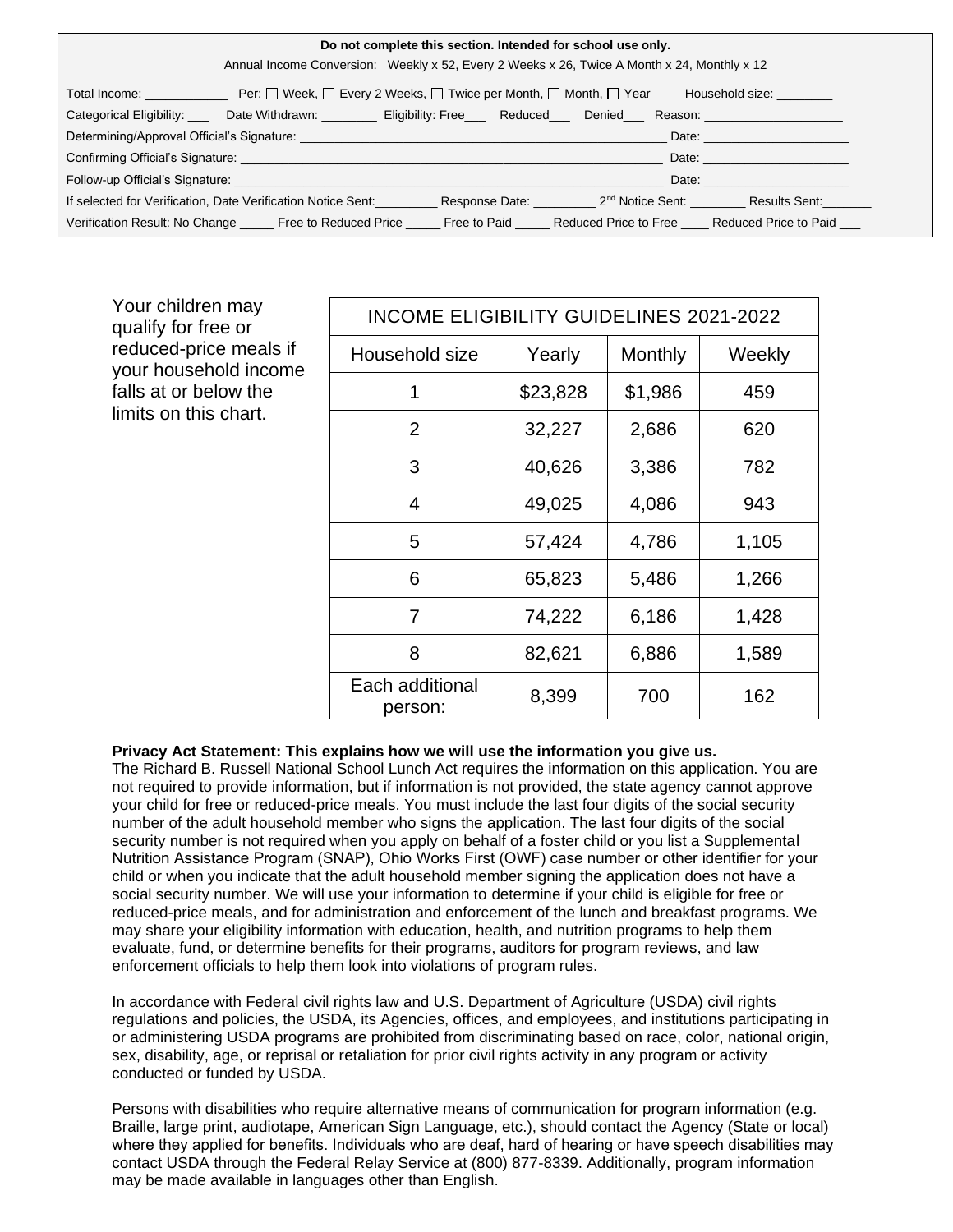| Do not complete this section. Intended for school use only.                                                                                                                                                                    |                                                                                                                                                                         |                                          |  |  |  |  |  |
|--------------------------------------------------------------------------------------------------------------------------------------------------------------------------------------------------------------------------------|-------------------------------------------------------------------------------------------------------------------------------------------------------------------------|------------------------------------------|--|--|--|--|--|
| Annual Income Conversion: Weekly x 52, Every 2 Weeks x 26, Twice A Month x 24, Monthly x 12                                                                                                                                    |                                                                                                                                                                         |                                          |  |  |  |  |  |
|                                                                                                                                                                                                                                | Total Income: __________________ Per: 囗 Week, 囗 Every 2 Weeks, 囗 Twice per Month, 囗 Month, 囗 Year                                                                       | Household size: <u>come and the same</u> |  |  |  |  |  |
|                                                                                                                                                                                                                                | Categorical Eligibility: ____ Date Withdrawn: _________ Eligibility: Free___ Reduced___ Denied___ Reason: ___________________                                           |                                          |  |  |  |  |  |
| Date: the contract of the contract of the contract of the contract of the contract of the contract of the contract of the contract of the contract of the contract of the contract of the contract of the contract of the cont |                                                                                                                                                                         |                                          |  |  |  |  |  |
| Date: <b>Date: Date: Date: Date: Date:</b>                                                                                                                                                                                     |                                                                                                                                                                         |                                          |  |  |  |  |  |
| Date: <b>Date:</b>                                                                                                                                                                                                             |                                                                                                                                                                         |                                          |  |  |  |  |  |
|                                                                                                                                                                                                                                | If selected for Verification, Date Verification Notice Sent: _____________Response Date: _____________2 <sup>nd</sup> Notice Sent: ____________Results Sent: __________ |                                          |  |  |  |  |  |
|                                                                                                                                                                                                                                | Verification Result: No Change ______ Free to Reduced Price _______ Free to Paid ______ Reduced Price to Free Reduced Price to Paid                                     |                                          |  |  |  |  |  |

| Your children may<br>qualify for free or                                                          | <b>INCOME ELIGIBILITY GUIDELINES 2021-2022</b> |          |         |        |  |  |  |  |  |  |  |
|---------------------------------------------------------------------------------------------------|------------------------------------------------|----------|---------|--------|--|--|--|--|--|--|--|
| reduced-price meals if<br>your household income<br>falls at or below the<br>limits on this chart. | Household size                                 | Yearly   | Monthly | Weekly |  |  |  |  |  |  |  |
|                                                                                                   |                                                | \$23,828 | \$1,986 | 459    |  |  |  |  |  |  |  |
|                                                                                                   | 2                                              | 32,227   | 2,686   | 620    |  |  |  |  |  |  |  |
|                                                                                                   | 3                                              | 40,626   | 3,386   | 782    |  |  |  |  |  |  |  |
|                                                                                                   | $\overline{4}$                                 | 49,025   | 4,086   | 943    |  |  |  |  |  |  |  |
|                                                                                                   | 5                                              | 57,424   | 4,786   | 1,105  |  |  |  |  |  |  |  |
|                                                                                                   | 6                                              | 65,823   | 5,486   | 1,266  |  |  |  |  |  |  |  |
|                                                                                                   | 7                                              | 74,222   | 6,186   | 1,428  |  |  |  |  |  |  |  |
|                                                                                                   | 8                                              | 82,621   | 6,886   | 1,589  |  |  |  |  |  |  |  |
|                                                                                                   | Each additional<br>person:                     | 8,399    | 700     | 162    |  |  |  |  |  |  |  |

#### **Privacy Act Statement: This explains how we will use the information you give us.**

The Richard B. Russell National School Lunch Act requires the information on this application. You are not required to provide information, but if information is not provided, the state agency cannot approve your child for free or reduced-price meals. You must include the last four digits of the social security number of the adult household member who signs the application. The last four digits of the social security number is not required when you apply on behalf of a foster child or you list a Supplemental Nutrition Assistance Program (SNAP), Ohio Works First (OWF) case number or other identifier for your child or when you indicate that the adult household member signing the application does not have a social security number. We will use your information to determine if your child is eligible for free or reduced-price meals, and for administration and enforcement of the lunch and breakfast programs. We may share your eligibility information with education, health, and nutrition programs to help them evaluate, fund, or determine benefits for their programs, auditors for program reviews, and law enforcement officials to help them look into violations of program rules.

In accordance with Federal civil rights law and U.S. Department of Agriculture (USDA) civil rights regulations and policies, the USDA, its Agencies, offices, and employees, and institutions participating in or administering USDA programs are prohibited from discriminating based on race, color, national origin, sex, disability, age, or reprisal or retaliation for prior civil rights activity in any program or activity conducted or funded by USDA.

Persons with disabilities who require alternative means of communication for program information (e.g. Braille, large print, audiotape, American Sign Language, etc.), should contact the Agency (State or local) where they applied for benefits. Individuals who are deaf, hard of hearing or have speech disabilities may contact USDA through the Federal Relay Service at (800) 877-8339. Additionally, program information may be made available in languages other than English.